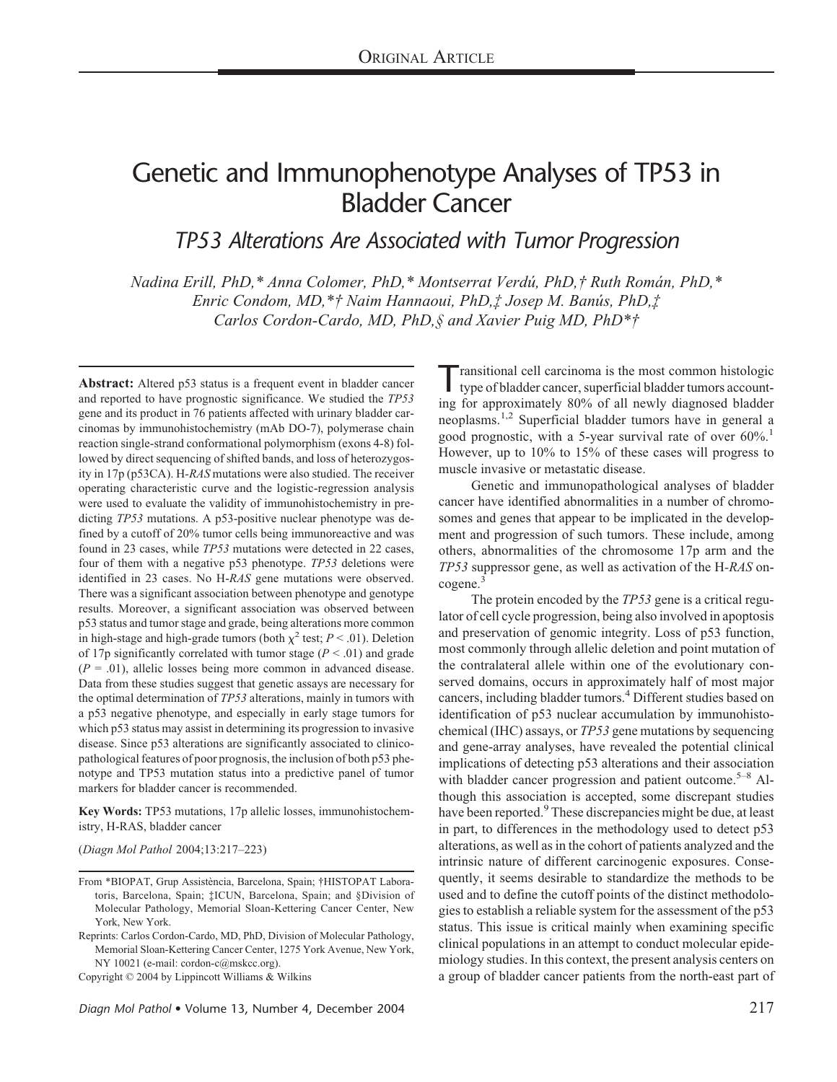# Genetic and Immunophenotype Analyses of TP53 in Bladder Cancer

*TP53 Alterations Are Associated with Tumor Progression*

*Nadina Erill, PhD,\* Anna Colomer, PhD,\* Montserrat Verdú, PhD,† Ruth Román, PhD,\* Enric Condom, MD,\*† Naim Hannaoui, PhD,‡ Josep M. Banús, PhD,‡ Carlos Cordon-Cardo, MD, PhD,§ and Xavier Puig MD, PhD\*†*

**Abstract:** Altered p53 status is a frequent event in bladder cancer and reported to have prognostic significance. We studied the *TP53* gene and its product in 76 patients affected with urinary bladder carcinomas by immunohistochemistry (mAb DO-7), polymerase chain reaction single-strand conformational polymorphism (exons 4-8) followed by direct sequencing of shifted bands, and loss of heterozygosity in 17p (p53CA). H*-RAS* mutations were also studied. The receiver operating characteristic curve and the logistic-regression analysis were used to evaluate the validity of immunohistochemistry in predicting *TP53* mutations. A p53-positive nuclear phenotype was defined by a cutoff of 20% tumor cells being immunoreactive and was found in 23 cases, while *TP53* mutations were detected in 22 cases, four of them with a negative p53 phenotype. *TP53* deletions were identified in 23 cases. No H-*RAS* gene mutations were observed. There was a significant association between phenotype and genotype results. Moreover, a significant association was observed between p53 status and tumor stage and grade, being alterations more common in high-stage and high-grade tumors (both  $\chi^2$  test; *P* < .01). Deletion of 17p significantly correlated with tumor stage  $(P < .01)$  and grade  $(P = .01)$ , allelic losses being more common in advanced disease. Data from these studies suggest that genetic assays are necessary for the optimal determination of *TP53* alterations, mainly in tumors with a p53 negative phenotype, and especially in early stage tumors for which p53 status may assist in determining its progression to invasive disease. Since p53 alterations are significantly associated to clinicopathological features of poor prognosis, the inclusion of both p53 phenotype and TP53 mutation status into a predictive panel of tumor markers for bladder cancer is recommended.

**Key Words:** TP53 mutations, 17p allelic losses, immunohistochemistry, H-RAS, bladder cancer

(*Diagn Mol Pathol* 2004;13:217–223)

Copyright © 2004 by Lippincott Williams & Wilkins

Transitional cell carcinoma is the most common histologic type of bladder cancer, superficial bladder tumors accounting for approximately 80% of all newly diagnosed bladder neoplasms.<sup>1,2</sup> Superficial bladder tumors have in general a good prognostic, with a 5-year survival rate of over  $60\%$ <sup>1</sup> However, up to 10% to 15% of these cases will progress to muscle invasive or metastatic disease.

Genetic and immunopathological analyses of bladder cancer have identified abnormalities in a number of chromosomes and genes that appear to be implicated in the development and progression of such tumors. These include, among others, abnormalities of the chromosome 17p arm and the *TP53* suppressor gene, as well as activation of the H*-RAS* oncogene.<sup>3</sup>

The protein encoded by the *TP53* gene is a critical regulator of cell cycle progression, being also involved in apoptosis and preservation of genomic integrity. Loss of p53 function, most commonly through allelic deletion and point mutation of the contralateral allele within one of the evolutionary conserved domains, occurs in approximately half of most major cancers, including bladder tumors.4 Different studies based on identification of p53 nuclear accumulation by immunohistochemical (IHC) assays, or *TP53* gene mutations by sequencing and gene-array analyses, have revealed the potential clinical implications of detecting p53 alterations and their association with bladder cancer progression and patient outcome.<sup>5–8</sup> Although this association is accepted, some discrepant studies have been reported.<sup>9</sup> These discrepancies might be due, at least in part, to differences in the methodology used to detect p53 alterations, as well as in the cohort of patients analyzed and the intrinsic nature of different carcinogenic exposures. Consequently, it seems desirable to standardize the methods to be used and to define the cutoff points of the distinct methodologies to establish a reliable system for the assessment of the p53 status. This issue is critical mainly when examining specific clinical populations in an attempt to conduct molecular epidemiology studies. In this context, the present analysis centers on a group of bladder cancer patients from the north-east part of

From \*BIOPAT, Grup Assistència, Barcelona, Spain; †HISTOPAT Laboratoris, Barcelona, Spain; ‡ICUN, Barcelona, Spain; and §Division of Molecular Pathology, Memorial Sloan-Kettering Cancer Center, New York, New York.

Reprints: Carlos Cordon-Cardo, MD, PhD, Division of Molecular Pathology, Memorial Sloan-Kettering Cancer Center, 1275 York Avenue, New York, NY 10021 (e-mail: cordon-c@mskcc.org).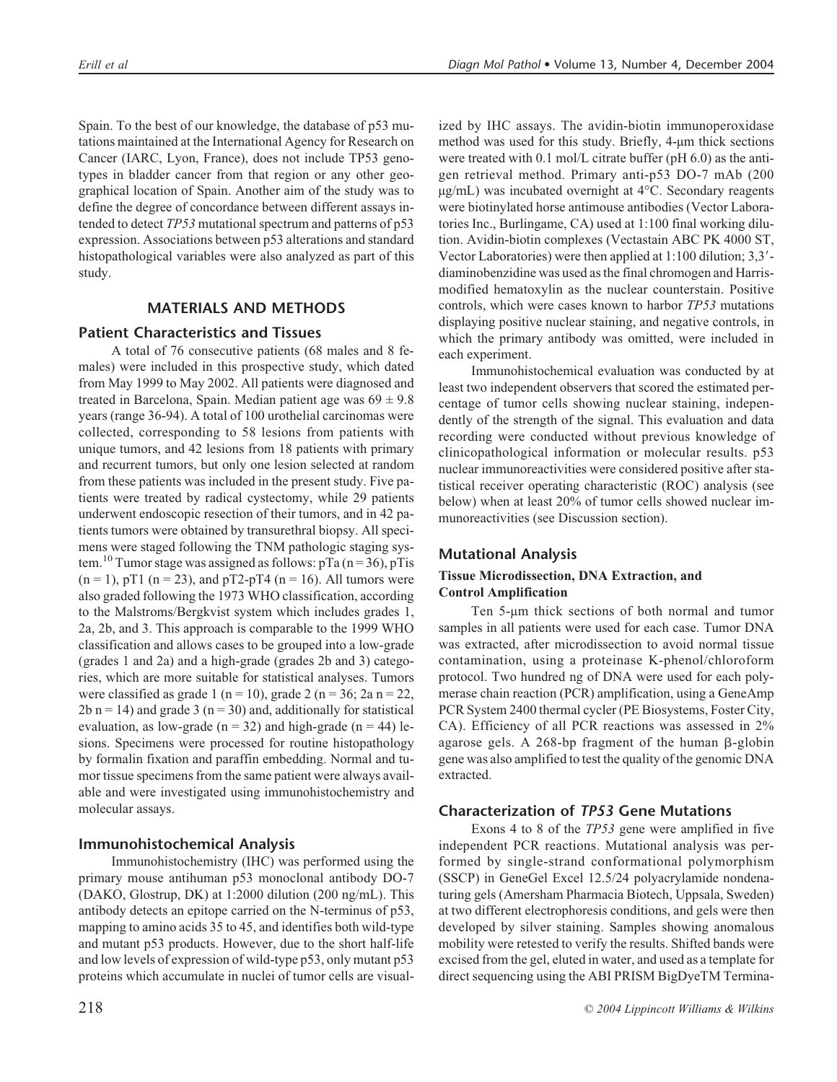Spain. To the best of our knowledge, the database of p53 mutations maintained at the International Agency for Research on Cancer (IARC, Lyon, France), does not include TP53 genotypes in bladder cancer from that region or any other geographical location of Spain. Another aim of the study was to define the degree of concordance between different assays intended to detect *TP53* mutational spectrum and patterns of p53 expression. Associations between p53 alterations and standard histopathological variables were also analyzed as part of this study.

# **MATERIALS AND METHODS**

## **Patient Characteristics and Tissues**

A total of 76 consecutive patients (68 males and 8 females) were included in this prospective study, which dated from May 1999 to May 2002. All patients were diagnosed and treated in Barcelona, Spain. Median patient age was  $69 \pm 9.8$ years (range 36-94). A total of 100 urothelial carcinomas were collected, corresponding to 58 lesions from patients with unique tumors, and 42 lesions from 18 patients with primary and recurrent tumors, but only one lesion selected at random from these patients was included in the present study. Five patients were treated by radical cystectomy, while 29 patients underwent endoscopic resection of their tumors, and in 42 patients tumors were obtained by transurethral biopsy. All specimens were staged following the TNM pathologic staging system.<sup>10</sup> Tumor stage was assigned as follows:  $pTa (n = 36)$ ,  $pTis$  $(n = 1)$ , pT1  $(n = 23)$ , and pT2-pT4  $(n = 16)$ . All tumors were also graded following the 1973 WHO classification, according to the Malstroms/Bergkvist system which includes grades 1, 2a, 2b, and 3. This approach is comparable to the 1999 WHO classification and allows cases to be grouped into a low-grade (grades 1 and 2a) and a high-grade (grades 2b and 3) categories, which are more suitable for statistical analyses. Tumors were classified as grade 1 (n = 10), grade 2 (n = 36; 2a n = 22,  $2b$  n = 14) and grade 3 (n = 30) and, additionally for statistical evaluation, as low-grade ( $n = 32$ ) and high-grade ( $n = 44$ ) lesions. Specimens were processed for routine histopathology by formalin fixation and paraffin embedding. Normal and tumor tissue specimens from the same patient were always available and were investigated using immunohistochemistry and molecular assays.

## **Immunohistochemical Analysis**

Immunohistochemistry (IHC) was performed using the primary mouse antihuman p53 monoclonal antibody DO-7 (DAKO, Glostrup, DK) at 1:2000 dilution (200 ng/mL). This antibody detects an epitope carried on the N-terminus of p53, mapping to amino acids 35 to 45, and identifies both wild-type and mutant p53 products. However, due to the short half-life and low levels of expression of wild-type p53, only mutant p53 proteins which accumulate in nuclei of tumor cells are visualized by IHC assays. The avidin-biotin immunoperoxidase method was used for this study. Briefly, 4-µm thick sections were treated with 0.1 mol/L citrate buffer (pH 6.0) as the antigen retrieval method. Primary anti-p53 DO-7 mAb (200  $\mu$ g/mL) was incubated overnight at 4 $\rm ^{o}C$ . Secondary reagents were biotinylated horse antimouse antibodies (Vector Laboratories Inc., Burlingame, CA) used at 1:100 final working dilution. Avidin-biotin complexes (Vectastain ABC PK 4000 ST, Vector Laboratories) were then applied at 1:100 dilution; 3,3 diaminobenzidine was used as the final chromogen and Harrismodified hematoxylin as the nuclear counterstain. Positive controls, which were cases known to harbor *TP53* mutations displaying positive nuclear staining, and negative controls, in which the primary antibody was omitted, were included in each experiment.

Immunohistochemical evaluation was conducted by at least two independent observers that scored the estimated percentage of tumor cells showing nuclear staining, independently of the strength of the signal. This evaluation and data recording were conducted without previous knowledge of clinicopathological information or molecular results. p53 nuclear immunoreactivities were considered positive after statistical receiver operating characteristic (ROC) analysis (see below) when at least 20% of tumor cells showed nuclear immunoreactivities (see Discussion section).

## **Mutational Analysis**

## **Tissue Microdissection, DNA Extraction, and Control Amplification**

Ten 5-µm thick sections of both normal and tumor samples in all patients were used for each case. Tumor DNA was extracted, after microdissection to avoid normal tissue contamination, using a proteinase K-phenol/chloroform protocol. Two hundred ng of DNA were used for each polymerase chain reaction (PCR) amplification, using a GeneAmp PCR System 2400 thermal cycler (PE Biosystems, Foster City, CA). Efficiency of all PCR reactions was assessed in 2% agarose gels. A 268-bp fragment of the human  $\beta$ -globin gene was also amplified to test the quality of the genomic DNA extracted.

#### **Characterization of** *TP53* **Gene Mutations**

Exons 4 to 8 of the *TP53* gene were amplified in five independent PCR reactions. Mutational analysis was performed by single-strand conformational polymorphism (SSCP) in GeneGel Excel 12.5/24 polyacrylamide nondenaturing gels (Amersham Pharmacia Biotech, Uppsala, Sweden) at two different electrophoresis conditions, and gels were then developed by silver staining. Samples showing anomalous mobility were retested to verify the results. Shifted bands were excised from the gel, eluted in water, and used as a template for direct sequencing using the ABI PRISM BigDyeTM Termina-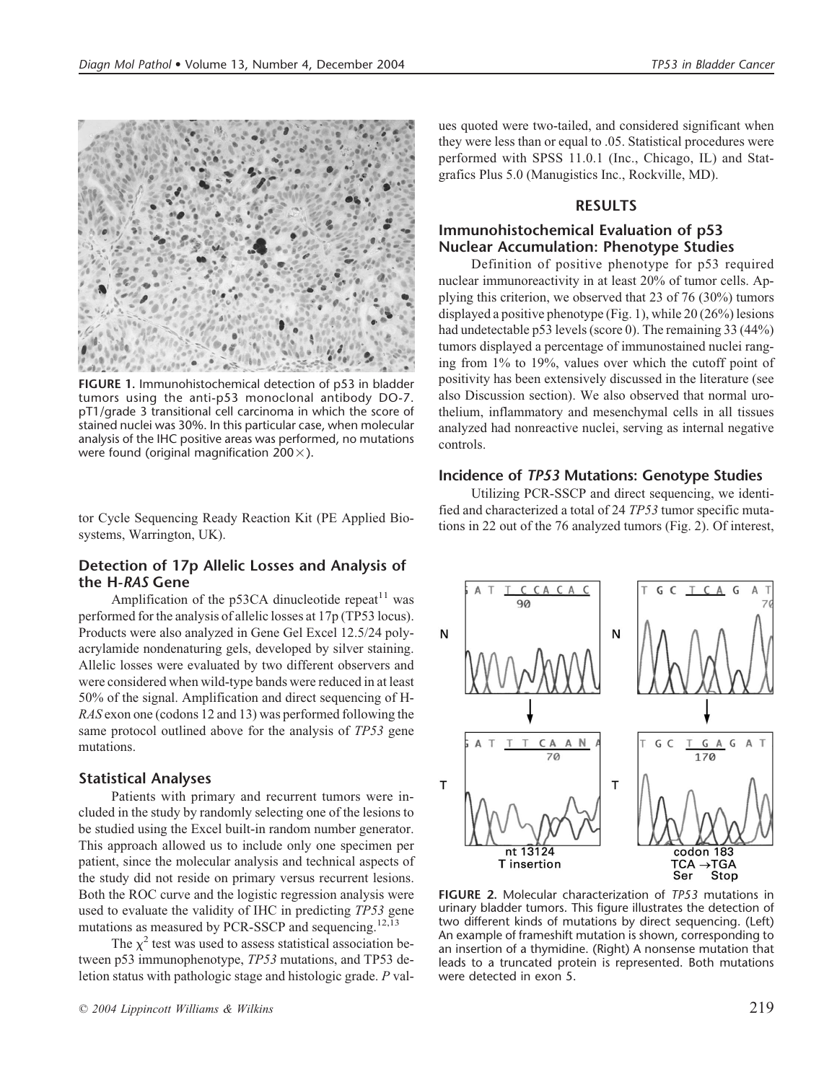

**FIGURE 1.** Immunohistochemical detection of p53 in bladder tumors using the anti-p53 monoclonal antibody DO-7. pT1/grade 3 transitional cell carcinoma in which the score of stained nuclei was 30%. In this particular case, when molecular analysis of the IHC positive areas was performed, no mutations were found (original magnification 200 $\times$ ).

tor Cycle Sequencing Ready Reaction Kit (PE Applied Biosystems, Warrington, UK).

## **Detection of 17p Allelic Losses and Analysis of the H-***RAS* **Gene**

Amplification of the p53CA dinucleotide repeat<sup>11</sup> was performed for the analysis of allelic losses at 17p (TP53 locus). Products were also analyzed in Gene Gel Excel 12.5/24 polyacrylamide nondenaturing gels, developed by silver staining. Allelic losses were evaluated by two different observers and were considered when wild-type bands were reduced in at least 50% of the signal. Amplification and direct sequencing of H-*RAS* exon one (codons 12 and 13) was performed following the same protocol outlined above for the analysis of *TP53* gene mutations.

#### **Statistical Analyses**

Patients with primary and recurrent tumors were included in the study by randomly selecting one of the lesions to be studied using the Excel built-in random number generator. This approach allowed us to include only one specimen per patient, since the molecular analysis and technical aspects of the study did not reside on primary versus recurrent lesions. Both the ROC curve and the logistic regression analysis were used to evaluate the validity of IHC in predicting *TP53* gene mutations as measured by PCR-SSCP and sequencing.<sup>12,13</sup>

The  $\chi^2$  test was used to assess statistical association between p53 immunophenotype, *TP53* mutations, and TP53 deletion status with pathologic stage and histologic grade. *P* values quoted were two-tailed, and considered significant when they were less than or equal to .05. Statistical procedures were performed with SPSS 11.0.1 (Inc., Chicago, IL) and Statgrafics Plus 5.0 (Manugistics Inc., Rockville, MD).

#### **RESULTS**

## **Immunohistochemical Evaluation of p53 Nuclear Accumulation: Phenotype Studies**

Definition of positive phenotype for p53 required nuclear immunoreactivity in at least 20% of tumor cells. Applying this criterion, we observed that 23 of 76 (30%) tumors displayed a positive phenotype (Fig. 1), while 20 (26%) lesions had undetectable p53 levels (score 0). The remaining 33 (44%) tumors displayed a percentage of immunostained nuclei ranging from 1% to 19%, values over which the cutoff point of positivity has been extensively discussed in the literature (see also Discussion section). We also observed that normal urothelium, inflammatory and mesenchymal cells in all tissues analyzed had nonreactive nuclei, serving as internal negative controls.

#### **Incidence of** *TP53* **Mutations: Genotype Studies**

Utilizing PCR-SSCP and direct sequencing, we identified and characterized a total of 24 *TP53* tumor specific mutations in 22 out of the 76 analyzed tumors (Fig. 2). Of interest,



**FIGURE 2.** Molecular characterization of *TP53* mutations in urinary bladder tumors. This figure illustrates the detection of two different kinds of mutations by direct sequencing. (Left) An example of frameshift mutation is shown, corresponding to an insertion of a thymidine. (Right) A nonsense mutation that leads to a truncated protein is represented. Both mutations were detected in exon 5.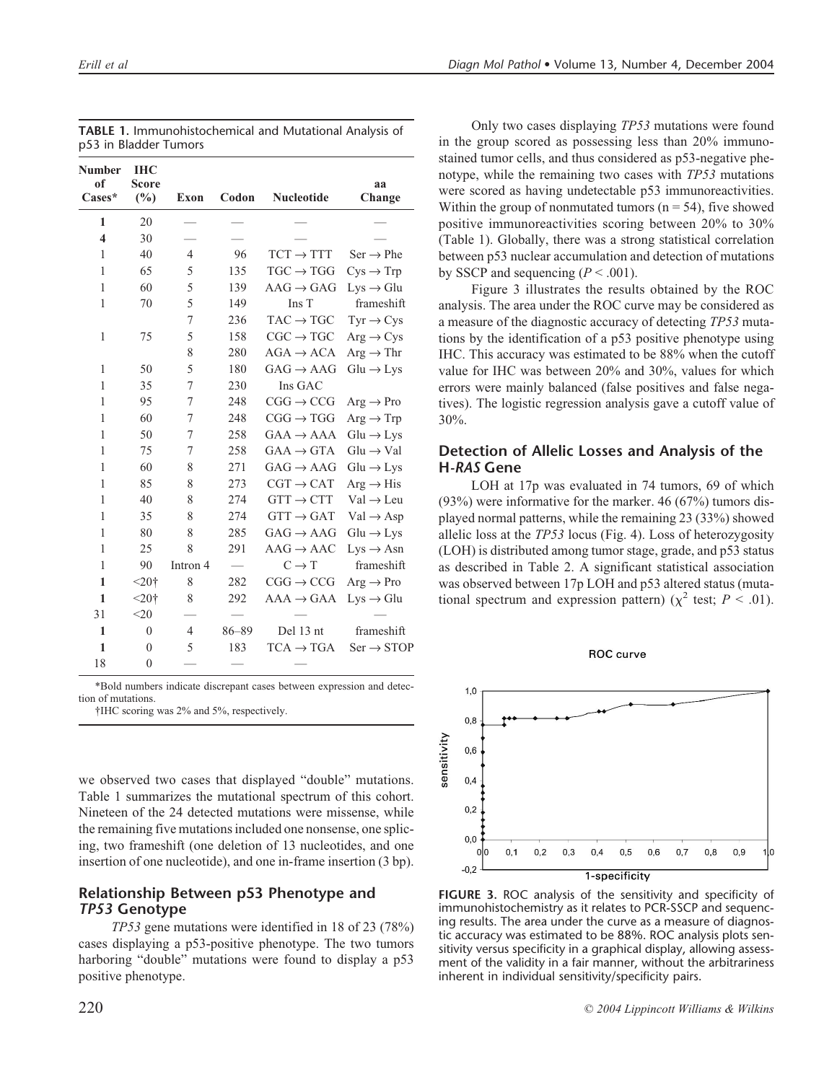| Number<br>of<br>Cases*  | <b>IHC</b><br><b>Score</b><br>$(\%)$ | <b>Exon</b>    | Codon     | <b>Nucleotide</b>     | aa<br>Change           |
|-------------------------|--------------------------------------|----------------|-----------|-----------------------|------------------------|
| 1                       | 20                                   |                |           |                       |                        |
| $\overline{\mathbf{4}}$ | 30                                   |                |           |                       |                        |
| 1                       | 40                                   | 4              | 96        | $TCT \rightarrow TTT$ | $Ser \rightarrow Phe$  |
| 1                       | 65                                   | 5              | 135       | $TGC \rightarrow TGG$ | $Cys \rightarrow Trp$  |
| 1                       | 60                                   | 5              | 139       | $AAG \rightarrow GAG$ | $Lys \rightarrow Glu$  |
| 1                       | 70                                   | 5              | 149       | Ins T                 | frameshift             |
|                         |                                      | 7              | 236       | $TAC \rightarrow TGC$ | $Tyr \rightarrow Cys$  |
| $\mathbf{1}$            | 75                                   | 5              | 158       | $CGC \rightarrow TGC$ | $Arg \rightarrow Cys$  |
|                         |                                      | 8              | 280       | $AGA \rightarrow ACA$ | $Arg \rightarrow Thr$  |
| 1                       | 50                                   | 5              | 180       | $GAG \rightarrow AAG$ | $Glu \rightarrow Lys$  |
| 1                       | 35                                   | 7              | 230       | Ins GAC               |                        |
| 1                       | 95                                   | 7              | 248       | $CGG \rightarrow CCG$ | $Arg \rightarrow Pro$  |
| 1                       | 60                                   | 7              | 248       | $CGG \rightarrow TGG$ | $Arg \rightarrow Trp$  |
| 1                       | 50                                   | 7              | 258       | $GAA \rightarrow AAA$ | $Glu \rightarrow Lys$  |
| 1                       | 75                                   | 7              | 258       | $GAA \rightarrow GTA$ | $Glu \rightarrow Val$  |
| 1                       | 60                                   | 8              | 271       | $GAG \rightarrow AAG$ | $Glu \rightarrow Lys$  |
| 1                       | 85                                   | 8              | 273       | $CGT \rightarrow CAT$ | $Arg \rightarrow His$  |
| 1                       | 40                                   | 8              | 274       | $GTT \rightarrow CTT$ | $Val \rightarrow Leu$  |
| 1                       | 35                                   | 8              | 274       | $GTT \rightarrow GAT$ | $Val \rightarrow Asp$  |
| 1                       | 80                                   | 8              | 285       | $GAG \rightarrow AAG$ | $Glu \rightarrow Lys$  |
| 1                       | 25                                   | 8              | 291       | $AAG \rightarrow AAC$ | $Lys \rightarrow Asn$  |
| 1                       | 90                                   | Intron 4       |           | $C \rightarrow T$     | frameshift             |
| 1                       | $< 20$ †                             | 8              | 282       | $CGG \rightarrow CCG$ | $Arg \rightarrow Pro$  |
| $\mathbf{1}$            | $< 20$ †                             | 8              | 292       | $AAA \rightarrow GAA$ | $Lys \rightarrow Glu$  |
| 31                      | $<$ 20                               |                |           |                       |                        |
| $\mathbf{1}$            | $\theta$                             | $\overline{4}$ | $86 - 89$ | Del 13 nt             | frameshift             |
| 1                       | $\overline{0}$                       | 5              | 183       | $TCA \rightarrow TGA$ | $Ser \rightarrow STOP$ |
| 18                      | $\overline{0}$                       |                |           |                       |                        |

| <b>TABLE 1. Immunohistochemical and Mutational Analysis of</b> |  |
|----------------------------------------------------------------|--|
| p53 in Bladder Tumors                                          |  |

\*Bold numbers indicate discrepant cases between expression and detection of mutations.

†IHC scoring was 2% and 5%, respectively.

we observed two cases that displayed "double" mutations. Table 1 summarizes the mutational spectrum of this cohort. Nineteen of the 24 detected mutations were missense, while the remaining five mutations included one nonsense, one splicing, two frameshift (one deletion of 13 nucleotides, and one insertion of one nucleotide), and one in-frame insertion (3 bp).

## **Relationship Between p53 Phenotype and** *TP53* **Genotype**

*TP53* gene mutations were identified in 18 of 23 (78%) cases displaying a p53-positive phenotype. The two tumors harboring "double" mutations were found to display a p53 positive phenotype.

Only two cases displaying *TP53* mutations were found in the group scored as possessing less than 20% immunostained tumor cells, and thus considered as p53-negative phenotype, while the remaining two cases with *TP53* mutations were scored as having undetectable p53 immunoreactivities. Within the group of nonmutated tumors ( $n = 54$ ), five showed positive immunoreactivities scoring between 20% to 30% (Table 1). Globally, there was a strong statistical correlation between p53 nuclear accumulation and detection of mutations by SSCP and sequencing  $(P < .001)$ .

Figure 3 illustrates the results obtained by the ROC analysis. The area under the ROC curve may be considered as a measure of the diagnostic accuracy of detecting *TP53* mutations by the identification of a p53 positive phenotype using IHC. This accuracy was estimated to be 88% when the cutoff value for IHC was between 20% and 30%, values for which errors were mainly balanced (false positives and false negatives). The logistic regression analysis gave a cutoff value of 30%.

## **Detection of Allelic Losses and Analysis of the H***-RAS* **Gene**

LOH at 17p was evaluated in 74 tumors, 69 of which (93%) were informative for the marker. 46 (67%) tumors displayed normal patterns, while the remaining 23 (33%) showed allelic loss at the *TP53* locus (Fig. 4). Loss of heterozygosity (LOH) is distributed among tumor stage, grade, and p53 status as described in Table 2. A significant statistical association was observed between 17p LOH and p53 altered status (mutational spectrum and expression pattern) ( $\chi^2$  test; *P* < .01).





**FIGURE 3.** ROC analysis of the sensitivity and specificity of immunohistochemistry as it relates to PCR-SSCP and sequencing results. The area under the curve as a measure of diagnostic accuracy was estimated to be 88%. ROC analysis plots sensitivity versus specificity in a graphical display, allowing assessment of the validity in a fair manner, without the arbitrariness inherent in individual sensitivity/specificity pairs.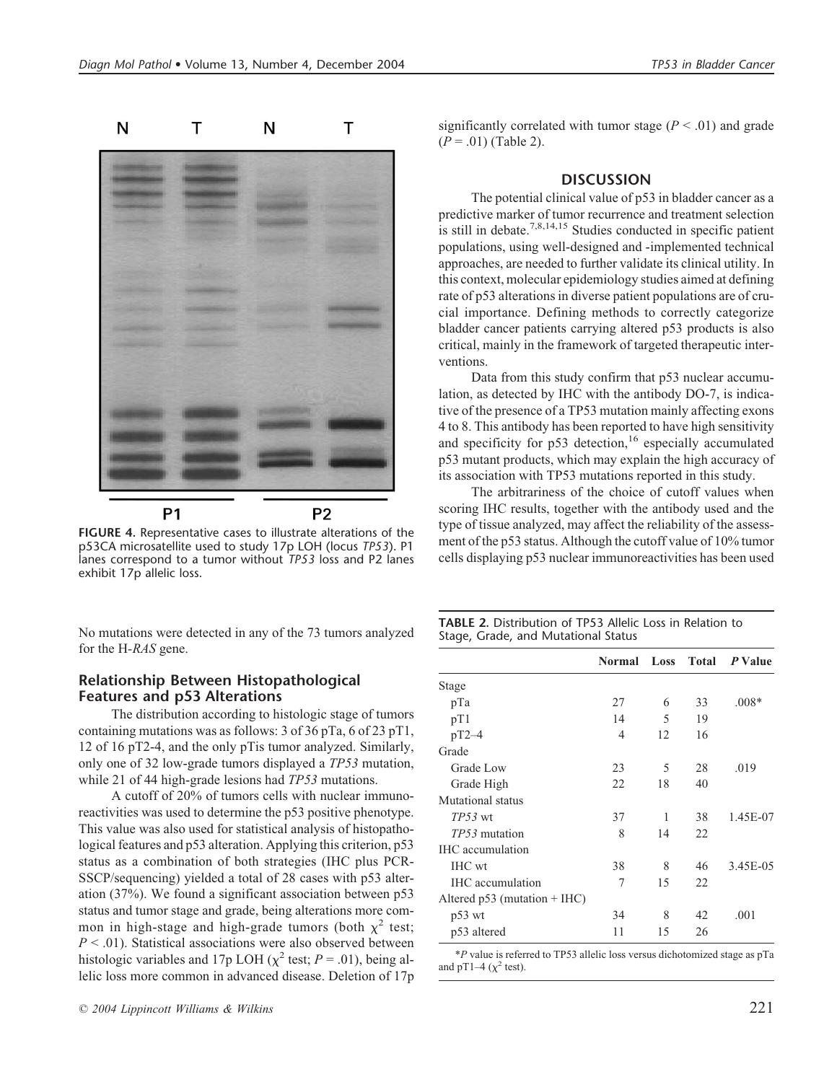

**FIGURE 4.** Representative cases to illustrate alterations of the p53CA microsatellite used to study 17p LOH (locus *TP53*). P1 lanes correspond to a tumor without *TP53* loss and P2 lanes exhibit 17p allelic loss.

No mutations were detected in any of the 73 tumors analyzed for the H*-RAS* gene.

#### **Relationship Between Histopathological Features and p53 Alterations**

The distribution according to histologic stage of tumors containing mutations was as follows: 3 of 36 pTa, 6 of 23 pT1, 12 of 16 pT2-4, and the only pTis tumor analyzed. Similarly, only one of 32 low-grade tumors displayed a *TP53* mutation, while 21 of 44 high-grade lesions had *TP53* mutations.

A cutoff of 20% of tumors cells with nuclear immunoreactivities was used to determine the p53 positive phenotype. This value was also used for statistical analysis of histopathological features and p53 alteration. Applying this criterion, p53 status as a combination of both strategies (IHC plus PCR-SSCP/sequencing) yielded a total of 28 cases with p53 alteration (37%). We found a significant association between p53 status and tumor stage and grade, being alterations more common in high-stage and high-grade tumors (both  $\chi^2$  test; *P* < .01). Statistical associations were also observed between histologic variables and 17p LOH ( $\chi^2$  test; *P* = .01), being allelic loss more common in advanced disease. Deletion of 17p significantly correlated with tumor stage  $(P < .01)$  and grade (*P* = .01) (Table 2).

#### **DISCUSSION**

The potential clinical value of p53 in bladder cancer as a predictive marker of tumor recurrence and treatment selection is still in debate.<sup>7,8,14,15</sup> Studies conducted in specific patient populations, using well-designed and -implemented technical approaches, are needed to further validate its clinical utility. In this context, molecular epidemiology studies aimed at defining rate of p53 alterations in diverse patient populations are of crucial importance. Defining methods to correctly categorize bladder cancer patients carrying altered p53 products is also critical, mainly in the framework of targeted therapeutic interventions.

Data from this study confirm that p53 nuclear accumulation, as detected by IHC with the antibody DO-7, is indicative of the presence of a TP53 mutation mainly affecting exons 4 to 8. This antibody has been reported to have high sensitivity and specificity for  $p53$  detection,<sup>16</sup> especially accumulated p53 mutant products, which may explain the high accuracy of its association with TP53 mutations reported in this study.

The arbitrariness of the choice of cutoff values when scoring IHC results, together with the antibody used and the type of tissue analyzed, may affect the reliability of the assessment of the p53 status. Although the cutoff value of 10% tumor cells displaying p53 nuclear immunoreactivities has been used

**TABLE 2.** Distribution of TP53 Allelic Loss in Relation to Stage, Grade, and Mutational Status

|                                |    |    |    | Normal Loss Total P Value |
|--------------------------------|----|----|----|---------------------------|
| Stage                          |    |    |    |                           |
| pTa                            | 27 | 6  | 33 | $.008*$                   |
| pT1                            | 14 | 5  | 19 |                           |
| $pT2-4$                        | 4  | 12 | 16 |                           |
| Grade                          |    |    |    |                           |
| Grade Low                      | 23 | 5  | 28 | .019                      |
| Grade High                     | 22 | 18 | 40 |                           |
| Mutational status              |    |    |    |                           |
| $TP53$ wt                      | 37 | 1  | 38 | 1.45E-07                  |
| TP53 mutation                  | 8  | 14 | 22 |                           |
| <b>IHC</b> accumulation        |    |    |    |                           |
| IHC wt                         | 38 | 8  | 46 | 3.45E-05                  |
| <b>IHC</b> accumulation        | 7  | 15 | 22 |                           |
| Altered $p53$ (mutation + IHC) |    |    |    |                           |
| $p53$ wt                       | 34 | 8  | 42 | .001                      |
| p53 altered                    | 11 | 15 | 26 |                           |

\**P* value is referred to TP53 allelic loss versus dichotomized stage as pTa and pT1–4 ( $\chi^2$  test).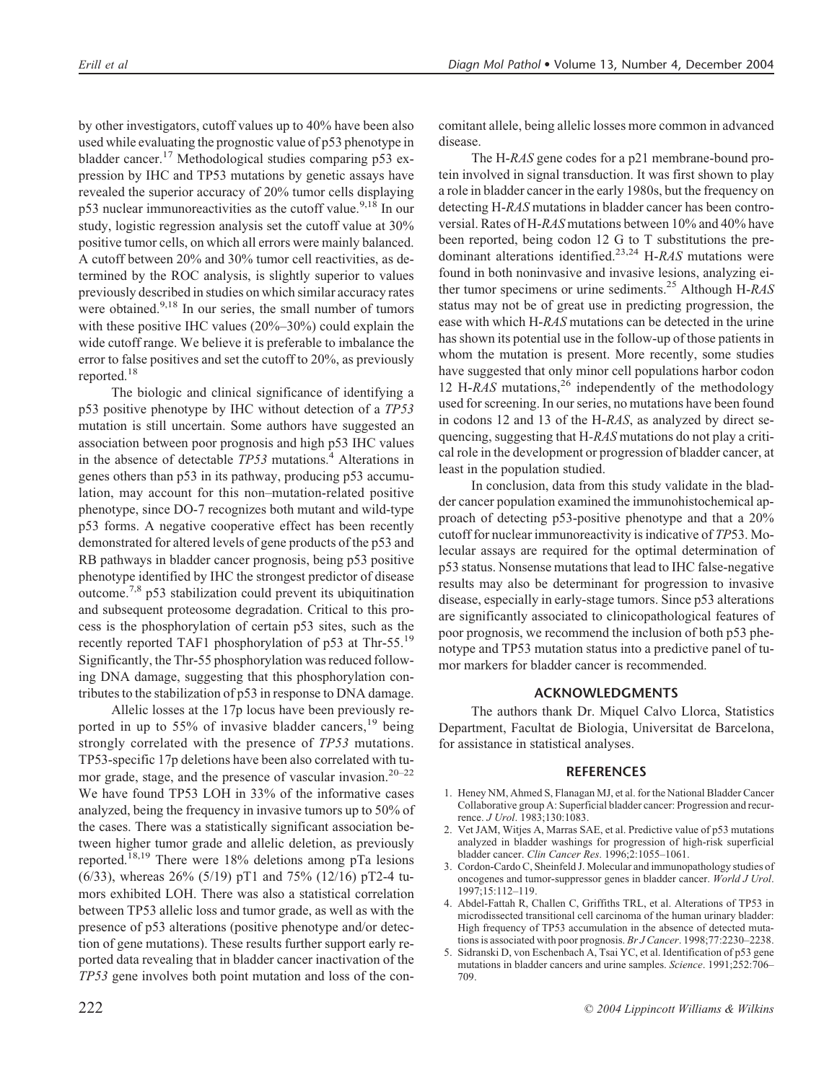by other investigators, cutoff values up to 40% have been also used while evaluating the prognostic value of p53 phenotype in bladder cancer.17 Methodological studies comparing p53 expression by IHC and TP53 mutations by genetic assays have revealed the superior accuracy of 20% tumor cells displaying p53 nuclear immunoreactivities as the cutoff value.<sup>9,18</sup> In our study, logistic regression analysis set the cutoff value at 30% positive tumor cells, on which all errors were mainly balanced. A cutoff between 20% and 30% tumor cell reactivities, as determined by the ROC analysis, is slightly superior to values previously described in studies on which similar accuracy rates were obtained.<sup>9,18</sup> In our series, the small number of tumors with these positive IHC values (20%–30%) could explain the wide cutoff range. We believe it is preferable to imbalance the error to false positives and set the cutoff to 20%, as previously reported.18

The biologic and clinical significance of identifying a p53 positive phenotype by IHC without detection of a *TP53* mutation is still uncertain. Some authors have suggested an association between poor prognosis and high p53 IHC values in the absence of detectable *TP53* mutations.<sup>4</sup> Alterations in genes others than p53 in its pathway, producing p53 accumulation, may account for this non–mutation-related positive phenotype, since DO-7 recognizes both mutant and wild-type p53 forms. A negative cooperative effect has been recently demonstrated for altered levels of gene products of the p53 and RB pathways in bladder cancer prognosis, being p53 positive phenotype identified by IHC the strongest predictor of disease outcome.7,8 p53 stabilization could prevent its ubiquitination and subsequent proteosome degradation. Critical to this process is the phosphorylation of certain p53 sites, such as the recently reported TAF1 phosphorylation of p53 at Thr-55.<sup>19</sup> Significantly, the Thr-55 phosphorylation was reduced following DNA damage, suggesting that this phosphorylation contributes to the stabilization of p53 in response to DNA damage.

Allelic losses at the 17p locus have been previously reported in up to 55% of invasive bladder cancers,  $19$  being strongly correlated with the presence of *TP53* mutations. TP53-specific 17p deletions have been also correlated with tumor grade, stage, and the presence of vascular invasion.<sup>20–22</sup> We have found TP53 LOH in 33% of the informative cases analyzed, being the frequency in invasive tumors up to 50% of the cases. There was a statistically significant association between higher tumor grade and allelic deletion, as previously reported.18,19 There were 18% deletions among pTa lesions (6/33), whereas 26% (5/19) pT1 and 75% (12/16) pT2-4 tumors exhibited LOH. There was also a statistical correlation between TP53 allelic loss and tumor grade, as well as with the presence of p53 alterations (positive phenotype and/or detection of gene mutations). These results further support early reported data revealing that in bladder cancer inactivation of the *TP53* gene involves both point mutation and loss of the concomitant allele, being allelic losses more common in advanced disease.

The H-*RAS* gene codes for a p21 membrane-bound protein involved in signal transduction. It was first shown to play a role in bladder cancer in the early 1980s, but the frequency on detecting H-*RAS* mutations in bladder cancer has been controversial. Rates of H-*RAS* mutations between 10% and 40% have been reported, being codon 12 G to T substitutions the predominant alterations identified.23,24 H-*RAS* mutations were found in both noninvasive and invasive lesions, analyzing either tumor specimens or urine sediments.25 Although H-*RAS* status may not be of great use in predicting progression, the ease with which H-*RAS* mutations can be detected in the urine has shown its potential use in the follow-up of those patients in whom the mutation is present. More recently, some studies have suggested that only minor cell populations harbor codon 12 H-*RAS* mutations,<sup>26</sup> independently of the methodology used for screening. In our series, no mutations have been found in codons 12 and 13 of the H-*RAS*, as analyzed by direct sequencing, suggesting that H*-RAS* mutations do not play a critical role in the development or progression of bladder cancer, at least in the population studied.

In conclusion, data from this study validate in the bladder cancer population examined the immunohistochemical approach of detecting p53-positive phenotype and that a 20% cutoff for nuclear immunoreactivity is indicative of *TP*53. Molecular assays are required for the optimal determination of p53 status. Nonsense mutations that lead to IHC false-negative results may also be determinant for progression to invasive disease, especially in early-stage tumors. Since p53 alterations are significantly associated to clinicopathological features of poor prognosis, we recommend the inclusion of both p53 phenotype and TP53 mutation status into a predictive panel of tumor markers for bladder cancer is recommended.

#### **ACKNOWLEDGMENTS**

The authors thank Dr. Miquel Calvo Llorca, Statistics Department, Facultat de Biologia, Universitat de Barcelona, for assistance in statistical analyses.

#### **REFERENCES**

- 1. Heney NM, Ahmed S, Flanagan MJ, et al. for the National Bladder Cancer Collaborative group A: Superficial bladder cancer: Progression and recurrence. *J Urol*. 1983;130:1083.
- 2. Vet JAM, Witjes A, Marras SAE, et al. Predictive value of p53 mutations analyzed in bladder washings for progression of high-risk superficial bladder cancer. *Clin Cancer Res*. 1996;2:1055–1061.
- 3. Cordon-Cardo C, Sheinfeld J. Molecular and immunopathology studies of oncogenes and tumor-suppressor genes in bladder cancer. *World J Urol*. 1997;15:112–119.
- 4. Abdel-Fattah R, Challen C, Griffiths TRL, et al. Alterations of TP53 in microdissected transitional cell carcinoma of the human urinary bladder: High frequency of TP53 accumulation in the absence of detected mutations is associated with poor prognosis. *Br J Cancer*. 1998;77:2230–2238.
- 5. Sidranski D, von Eschenbach A, Tsai YC, et al. Identification of p53 gene mutations in bladder cancers and urine samples. *Science*. 1991;252:706– 709.